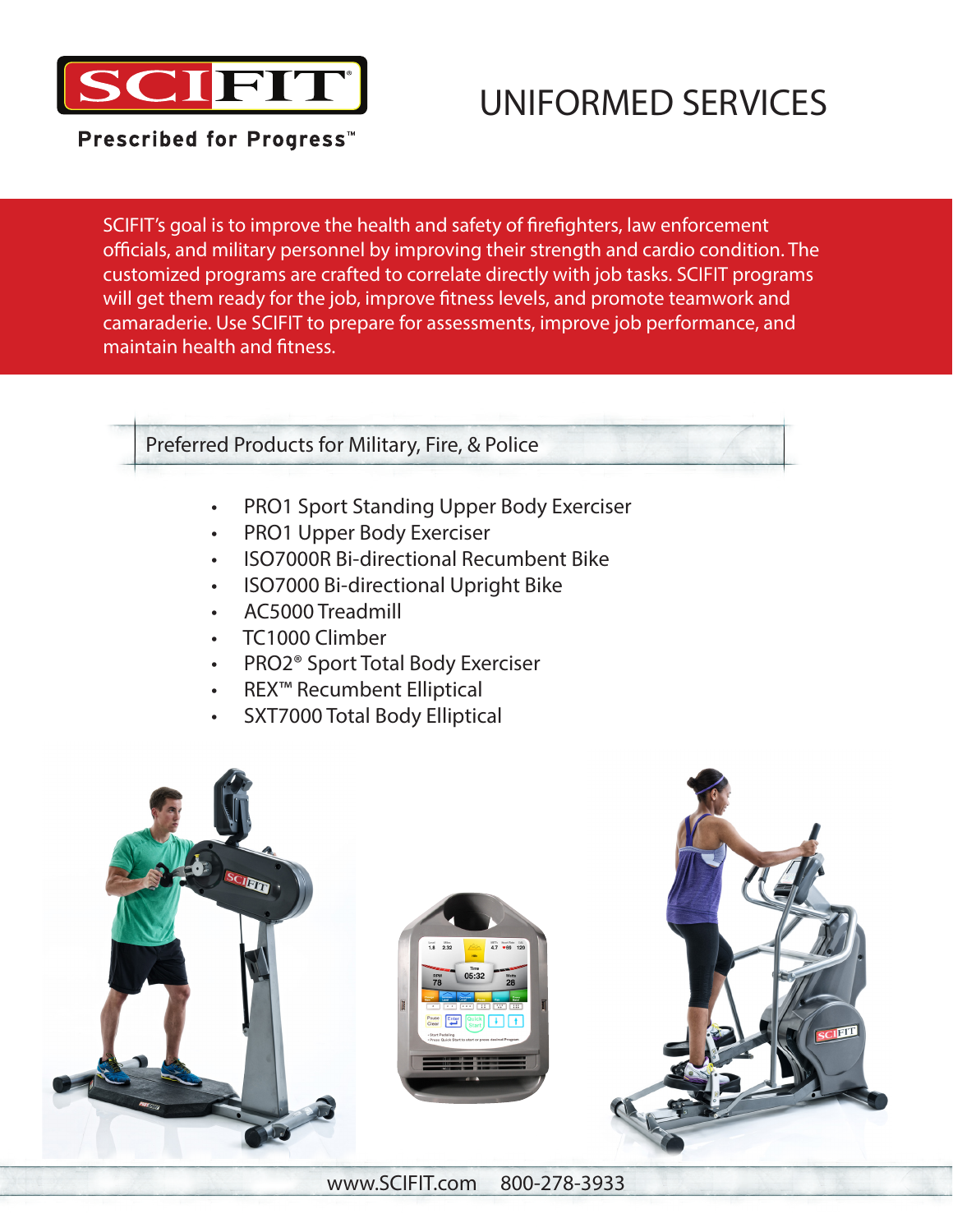

# UNIFORMED SERVICES

Prescribed for Progress<sup>™</sup>

SCIFIT's goal is to improve the health and safety of firefighters, law enforcement officials, and military personnel by improving their strength and cardio condition. The customized programs are crafted to correlate directly with job tasks. SCIFIT programs will get them ready for the job, improve fitness levels, and promote teamwork and camaraderie. Use SCIFIT to prepare for assessments, improve job performance, and maintain health and fitness.

# Preferred Products for Military, Fire, & Police

- PRO1 Sport Standing Upper Body Exerciser
- PRO1 Upper Body Exerciser
- ISO7000R Bi-directional Recumbent Bike
- ISO7000 Bi-directional Upright Bike
- AC5000 Treadmill
- TC1000 Climber
- PRO2® Sport Total Body Exerciser
- REX™ Recumbent Elliptical
- SXT7000 Total Body Elliptical